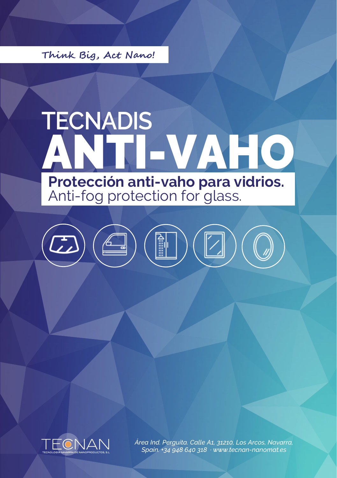Think Big, Act Nano!

## TECNADIS<br>ANTI-VAHO **Protección anti-vaho para vidrios.**<br>Anti-fog protection for glass.

 $)\left(\begin{array}{c}\mathbb H\end{array}\right)\left(\begin{array}{c}\mathbb H\end{array}\right)$  $\boxed{2}$ 



Área Ind. Perguita. Calle A1, 31210, Los Arcos, Navarra, Spain. +34 948 640 318 · www.tecnan-nanomat.es